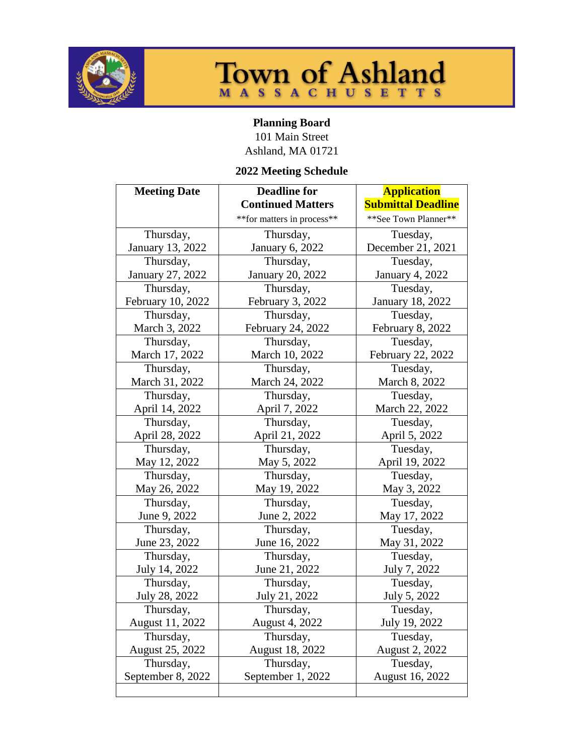



## **Planning Board**

101 Main Street Ashland, MA 01721

## **2022 Meeting Schedule**

| <b>Meeting Date</b> | <b>Deadline for</b>         | <b>Application</b>        |
|---------------------|-----------------------------|---------------------------|
|                     | <b>Continued Matters</b>    | <b>Submittal Deadline</b> |
|                     | ** for matters in process** | ** See Town Planner**     |
| Thursday,           | Thursday,                   | Tuesday,                  |
| January 13, 2022    | <b>January 6, 2022</b>      | December 21, 2021         |
| Thursday,           | Thursday,                   | Tuesday,                  |
| January 27, 2022    | <b>January 20, 2022</b>     | <b>January 4, 2022</b>    |
| Thursday,           | Thursday,                   | Tuesday,                  |
| February 10, 2022   | February 3, 2022            | <b>January 18, 2022</b>   |
| Thursday,           | Thursday,                   | Tuesday,                  |
| March 3, 2022       | February 24, 2022           | February 8, 2022          |
| Thursday,           | Thursday,                   | Tuesday,                  |
| March 17, 2022      | March 10, 2022              | February 22, 2022         |
| Thursday,           | Thursday,                   | Tuesday,                  |
| March 31, 2022      | March 24, 2022              | March 8, 2022             |
| Thursday,           | Thursday,                   | Tuesday,                  |
| April 14, 2022      | April 7, 2022               | March 22, 2022            |
| Thursday,           | Thursday,                   | Tuesday,                  |
| April 28, 2022      | April 21, 2022              | April 5, 2022             |
| Thursday,           | Thursday,                   | Tuesday,                  |
| May 12, 2022        | May 5, 2022                 | April 19, 2022            |
| Thursday,           | Thursday,                   | Tuesday,                  |
| May 26, 2022        | May 19, 2022                | May 3, 2022               |
| Thursday,           | Thursday,                   | Tuesday,                  |
| June 9, 2022        | June 2, 2022                | May 17, 2022              |
| Thursday,           | Thursday,                   | Tuesday,                  |
| June 23, 2022       | June 16, 2022               | May 31, 2022              |
| Thursday,           | Thursday,                   | Tuesday,                  |
| July 14, 2022       | June 21, 2022               | July 7, 2022              |
| Thursday,           | Thursday,                   | Tuesday,                  |
| July 28, 2022       | July 21, 2022               | July 5, 2022              |
| Thursday,           | Thursday,                   | Tuesday,                  |
| August 11, 2022     | <b>August 4, 2022</b>       | July 19, 2022             |
| Thursday,           | Thursday,                   | Tuesday,                  |
| August 25, 2022     | August 18, 2022             | <b>August 2, 2022</b>     |
| Thursday,           | Thursday,                   | Tuesday,                  |
| September 8, 2022   | September 1, 2022           | August 16, 2022           |
|                     |                             |                           |